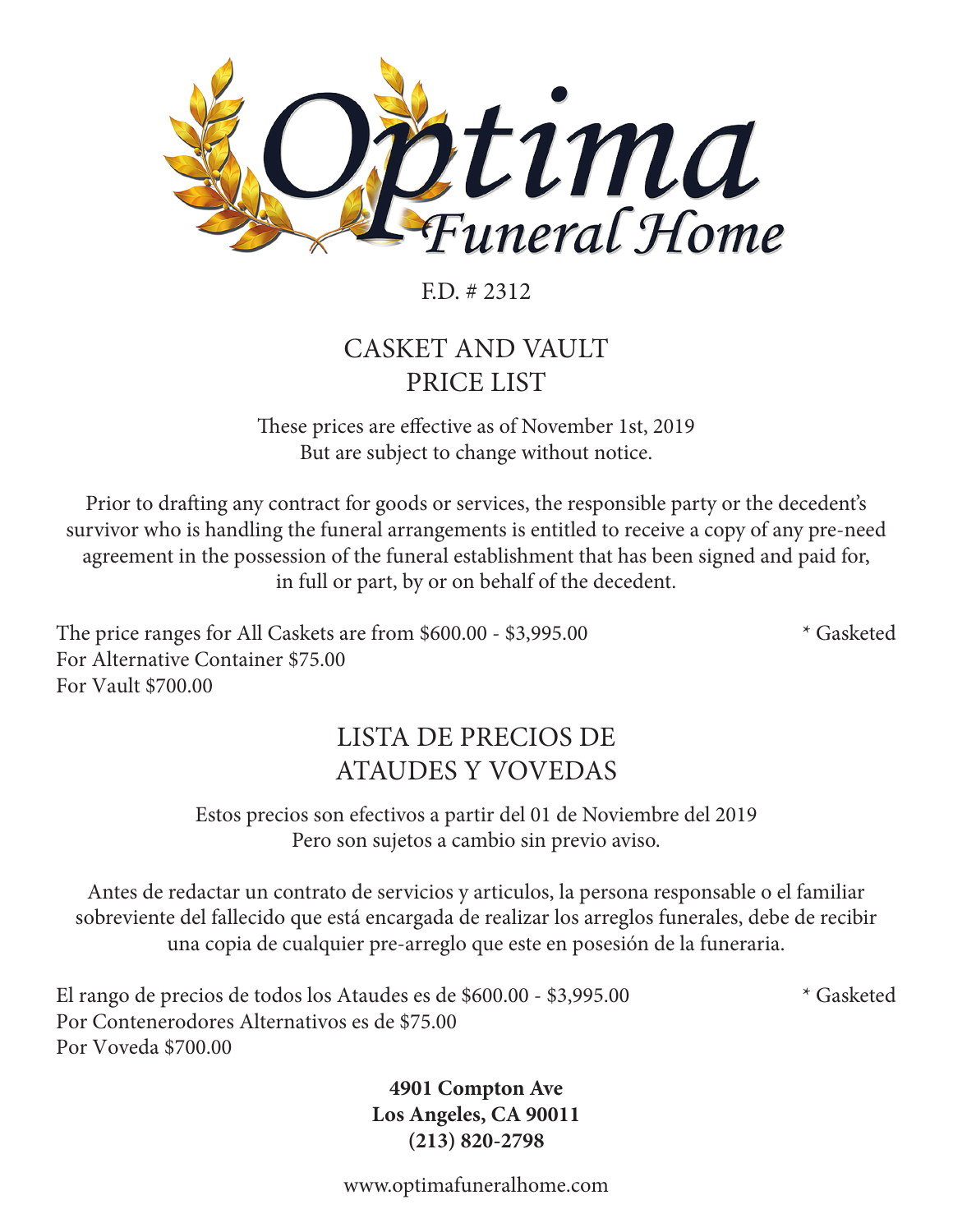

F.D. # 2312

# CASKET AND VAULT PRICE LIST

These prices are effective as of November 1st, 2019 But are subject to change without notice.

Prior to drafting any contract for goods or services, the responsible party or the decedent's survivor who is handling the funeral arrangements is entitled to receive a copy of any pre-need agreement in the possession of the funeral establishment that has been signed and paid for, in full or part, by or on behalf of the decedent.

The price ranges for All Caskets are from \$600.00 - \$3,995.00  $*$  Gasketed For Alternative Container \$75.00 For Vault \$700.00

# LISTA DE PRECIOS DE ATAUDES Y VOVEDAS

Estos precios son efectivos a partir del 01 de Noviembre del 2019 Pero son sujetos a cambio sin previo aviso.

Antes de redactar un contrato de servicios y articulos, la persona responsable o el familiar sobreviente del fallecido que está encargada de realizar los arreglos funerales, debe de recibir una copia de cualquier pre-arreglo que este en posesión de la funeraria.

El rango de precios de todos los Ataudes es de \$600.00 - \$3,995.00 \* Gasketed Por Contenerodores Alternativos es de \$75.00 Por Voveda \$700.00

> **4901 Compton Ave Los Angeles, CA 90011 (213) 820-2798**

www.optimafuneralhome.com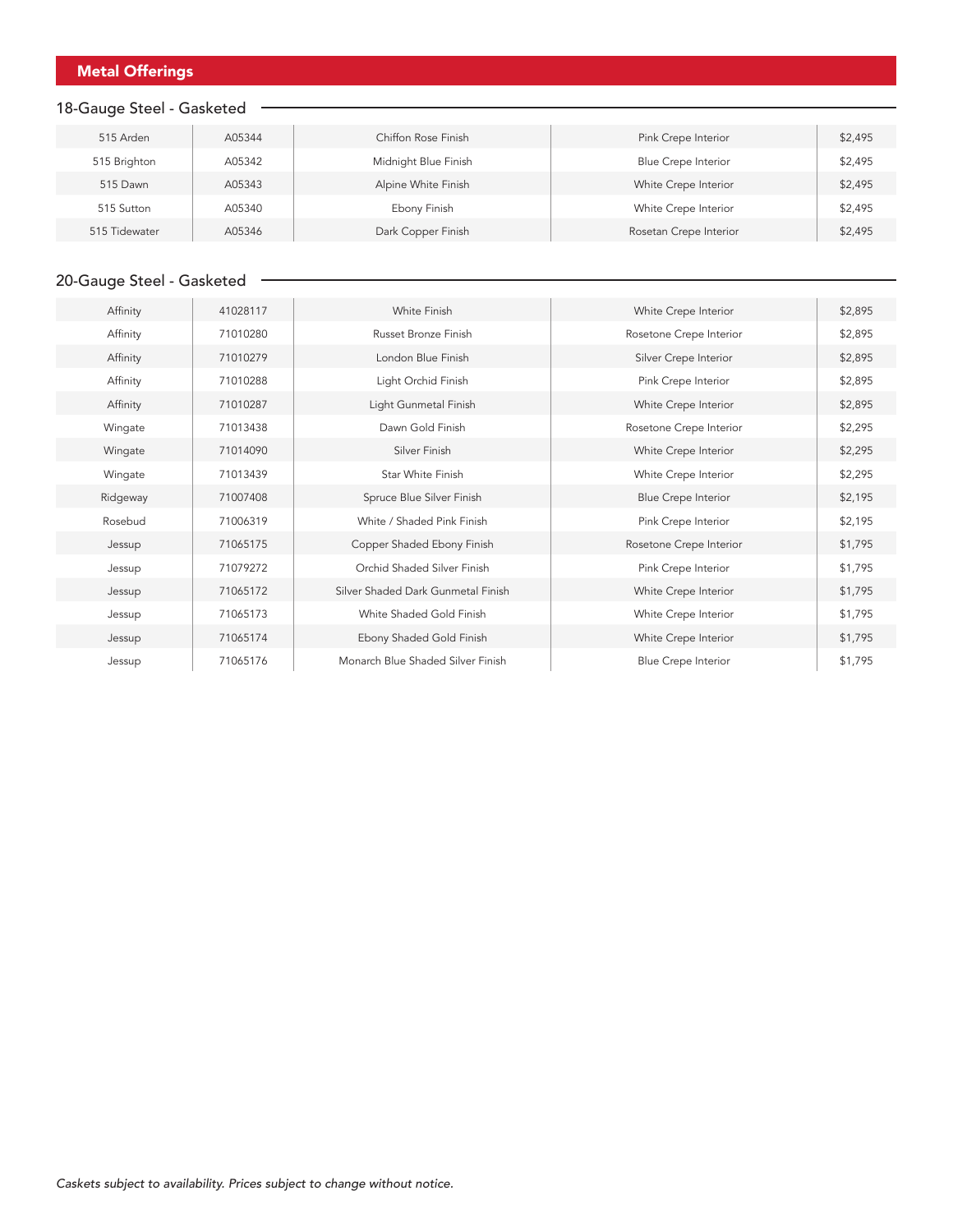# Metal Offerings

## 18-Gauge Steel - Gasketed -

| 515 Arden     | A05344 | Chiffon Rose Finish  | Pink Crepe Interior        | \$2,495 |
|---------------|--------|----------------------|----------------------------|---------|
| 515 Brighton  | A05342 | Midnight Blue Finish | <b>Blue Crepe Interior</b> | \$2,495 |
| 515 Dawn      | A05343 | Alpine White Finish  | White Crepe Interior       | \$2,495 |
| 515 Sutton    | A05340 | Ebony Finish         | White Crepe Interior       | \$2,495 |
| 515 Tidewater | A05346 | Dark Copper Finish   | Rosetan Crepe Interior     | \$2,495 |

### 20-Gauge Steel - Gasketed -

| Affinity | 41028117 | White Finish                       | White Crepe Interior       | \$2,895 |
|----------|----------|------------------------------------|----------------------------|---------|
| Affinity | 71010280 | Russet Bronze Finish               | Rosetone Crepe Interior    | \$2,895 |
| Affinity | 71010279 | London Blue Finish                 | Silver Crepe Interior      | \$2,895 |
| Affinity | 71010288 | Light Orchid Finish                | Pink Crepe Interior        | \$2,895 |
| Affinity | 71010287 | Light Gunmetal Finish              | White Crepe Interior       | \$2,895 |
| Wingate  | 71013438 | Dawn Gold Finish                   | Rosetone Crepe Interior    | \$2,295 |
| Wingate  | 71014090 | Silver Finish                      | White Crepe Interior       | \$2,295 |
| Wingate  | 71013439 | <b>Star White Finish</b>           | White Crepe Interior       | \$2,295 |
| Ridgeway | 71007408 | Spruce Blue Silver Finish          | <b>Blue Crepe Interior</b> | \$2,195 |
| Rosebud  | 71006319 | White / Shaded Pink Finish         | Pink Crepe Interior        | \$2,195 |
| Jessup   | 71065175 | Copper Shaded Ebony Finish         | Rosetone Crepe Interior    | \$1,795 |
| Jessup   | 71079272 | Orchid Shaded Silver Finish        | Pink Crepe Interior        | \$1,795 |
| Jessup   | 71065172 | Silver Shaded Dark Gunmetal Finish | White Crepe Interior       | \$1,795 |
| Jessup   | 71065173 | White Shaded Gold Finish           | White Crepe Interior       | \$1,795 |
| Jessup   | 71065174 | Ebony Shaded Gold Finish           | White Crepe Interior       | \$1,795 |
| Jessup   | 71065176 | Monarch Blue Shaded Silver Finish  | <b>Blue Crepe Interior</b> | \$1,795 |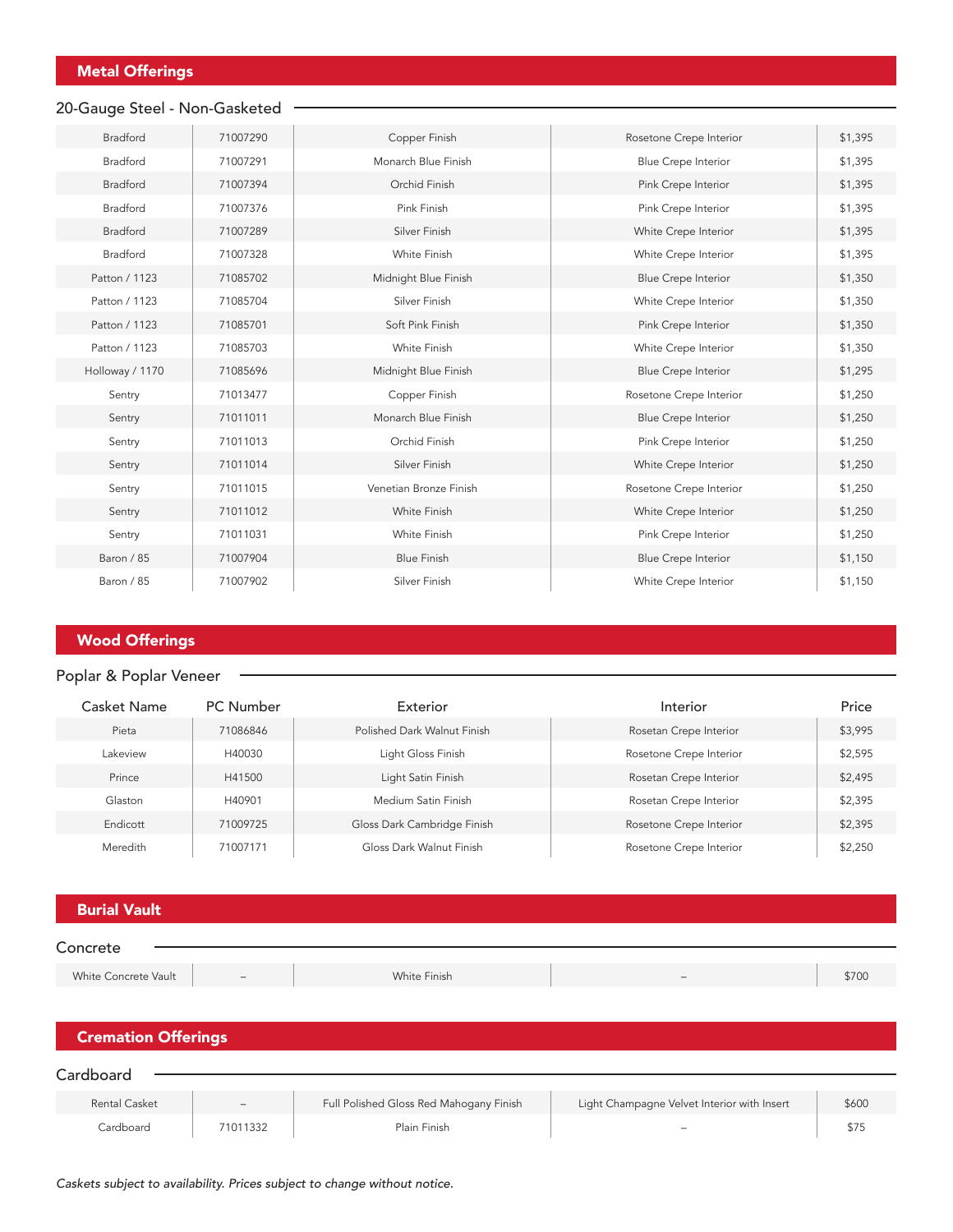#### 20-Gauge Steel - Non-Gasketed

| <b>Bradford</b> | 71007290 | Copper Finish          | Rosetone Crepe Interior    | \$1,395 |
|-----------------|----------|------------------------|----------------------------|---------|
| <b>Bradford</b> | 71007291 | Monarch Blue Finish    | <b>Blue Crepe Interior</b> | \$1,395 |
| Bradford        | 71007394 | Orchid Finish          | Pink Crepe Interior        | \$1,395 |
| Bradford        | 71007376 | Pink Finish            | Pink Crepe Interior        | \$1,395 |
| Bradford        | 71007289 | Silver Finish          | White Crepe Interior       | \$1,395 |
| Bradford        | 71007328 | White Finish           | White Crepe Interior       | \$1,395 |
| Patton / 1123   | 71085702 | Midnight Blue Finish   | <b>Blue Crepe Interior</b> | \$1,350 |
| Patton / 1123   | 71085704 | Silver Finish          | White Crepe Interior       | \$1,350 |
| Patton / 1123   | 71085701 | Soft Pink Finish       | Pink Crepe Interior        | \$1,350 |
| Patton / 1123   | 71085703 | White Finish           | White Crepe Interior       | \$1,350 |
| Holloway / 1170 | 71085696 | Midnight Blue Finish   | <b>Blue Crepe Interior</b> | \$1,295 |
| Sentry          | 71013477 | Copper Finish          | Rosetone Crepe Interior    | \$1,250 |
| Sentry          | 71011011 | Monarch Blue Finish    | <b>Blue Crepe Interior</b> | \$1,250 |
| Sentry          | 71011013 | Orchid Finish          | Pink Crepe Interior        | \$1,250 |
| Sentry          | 71011014 | Silver Finish          | White Crepe Interior       | \$1,250 |
| Sentry          | 71011015 | Venetian Bronze Finish | Rosetone Crepe Interior    | \$1,250 |
| Sentry          | 71011012 | White Finish           | White Crepe Interior       | \$1,250 |
| Sentry          | 71011031 | White Finish           | Pink Crepe Interior        | \$1,250 |
| Baron / 85      | 71007904 | <b>Blue Finish</b>     | <b>Blue Crepe Interior</b> | \$1,150 |
| Baron / 85      | 71007902 | Silver Finish          | White Crepe Interior       | \$1,150 |

## Wood Offerings

#### Poplar & Poplar Veneer

| Casket Name | <b>PC Number</b> | Exterior                    | Interior                | Price   |
|-------------|------------------|-----------------------------|-------------------------|---------|
| Pieta       | 71086846         | Polished Dark Walnut Finish | Rosetan Crepe Interior  | \$3,995 |
| Lakeview    | H40030           | Light Gloss Finish          | Rosetone Crepe Interior | \$2,595 |
| Prince      | H41500           | Light Satin Finish          | Rosetan Crepe Interior  | \$2,495 |
| Glaston     | H40901           | Medium Satin Finish         | Rosetan Crepe Interior  | \$2,395 |
| Endicott    | 71009725         | Gloss Dark Cambridge Finish | Rosetone Crepe Interior | \$2,395 |
| Meredith    | 71007171         | Gloss Dark Walnut Finish    | Rosetone Crepe Interior | \$2,250 |

#### Burial Vault

| Concrete                   |                   |                                         |                                             |       |  |
|----------------------------|-------------------|-----------------------------------------|---------------------------------------------|-------|--|
|                            |                   |                                         |                                             |       |  |
| White Concrete Vault       | -                 | White Finish                            | $\qquad \qquad -$                           | \$700 |  |
|                            |                   |                                         |                                             |       |  |
| <b>Cremation Offerings</b> |                   |                                         |                                             |       |  |
| Cardboard                  |                   |                                         |                                             |       |  |
|                            |                   |                                         |                                             |       |  |
| Rental Casket              | $\qquad \qquad -$ | Full Polished Gloss Red Mahogany Finish | Light Champagne Velvet Interior with Insert | \$600 |  |
| Cardboard                  | 71011332          | Plain Finish                            |                                             | \$75  |  |